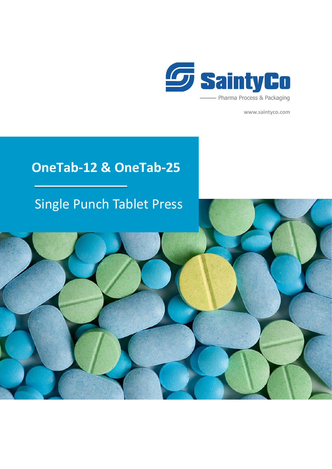

**www.saintyco.com**

## **OneTab-12 & OneTab-25**

## Single Punch Tablet Press

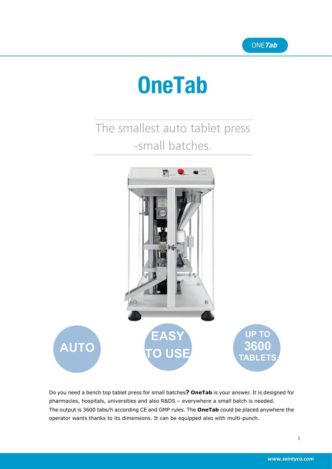# **OneTab**

The smallest auto tablet press -small batches.



Do you need a bench top tablet press for small batches? OneTab is your answer. It is designed for pharmacies, hospitals, universities and also R&DS – everywhere a small batch is needed. The output is 3600 tabs/h according CE and GMP rules. The **OneTab** could be placed anywhere the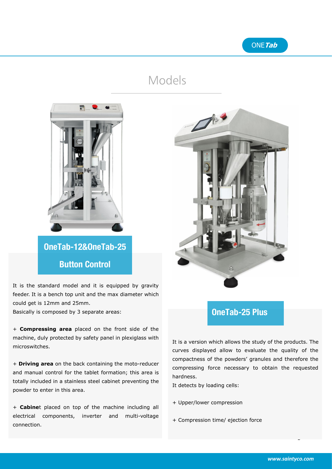### Models



**OneTab-12&OneTab-25 Button Control**

It is the standard model and it is equipped by gravity feeder. It is a bench top unit and the max diameter which could get is 12mm and 25mm.

Basically is composed by 3 separate areas:

+ **Compressing area** placed on the front side of the machine, duly protected by safety panel in plexiglass with microswitches.

+ **Driving area** on the back containing the moto-reducer and manual control for the tablet formation; this area is totally included in a stainless steel cabinet preventing the powder to enter in this area.<br>+ **Cabine**t placed on top of the machine including all

electrical components, inverter and multi-voltage connection.



#### **OneTab-25 Plus**

It is a version which allows the study of the products. The curves displayed allow to evaluate the quality of the compactness of the powders' granules and therefore the compressing force necessary to obtain the requested hardness.

It detects by loading cells:

- + Upper/lower compression
- + Compression time/ ejection force

 $\mathbf{2}$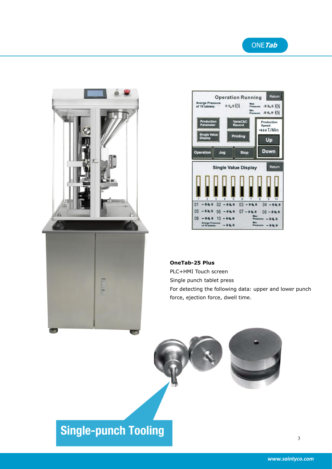





#### **OneTab-25 Plus**

PLC+HMI Touch screen

Single punch tablet press

For detecting the following data: upper and lower punch force, ejection force, dwell time.

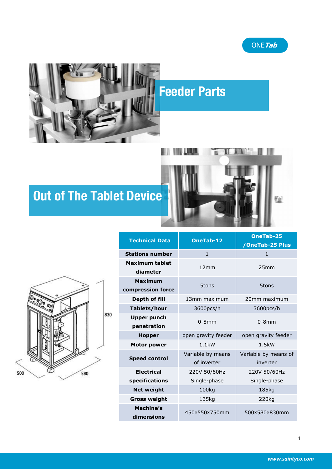

## **Feeder Parts**



## **Out of The Tablet Device**



| <b>Technical Data</b>               | <b>OneTab-12</b>                 | OneTab-25<br>/OneTab-25 Plus     |
|-------------------------------------|----------------------------------|----------------------------------|
| <b>Stations number</b>              | $\mathbf{1}$                     | $\mathbf{1}$                     |
| <b>Maximum tablet</b><br>diameter   | 12mm                             | 25mm                             |
| <b>Maximum</b><br>compression force | 5tons                            | 5tons                            |
| Depth of fill                       | 13mm maximum                     | 20mm maximum                     |
| Tablets/hour                        | 3600pcs/h                        | 3600pcs/h                        |
| <b>Upper punch</b><br>penetration   | $0-8$ mm                         | $0-8$ mm                         |
| <b>Hopper</b>                       | open gravity feeder              | open gravity feeder              |
| <b>Motor power</b>                  | $1.1$ kW                         | 1.5kW                            |
| <b>Speed control</b>                | Variable by means<br>of inverter | Variable by means of<br>inverter |
| <b>Electrical</b>                   | 220V 50/60Hz                     | 220V 50/60Hz                     |
| specifications                      | Single-phase                     | Single-phase                     |
| <b>Net weight</b>                   | 100kg                            | 185kg                            |
| <b>Gross weight</b>                 | 135kg                            | 220kg                            |
| <b>Machine's</b><br>dimensions      | 450×550×750mm                    | 500×580×830mm                    |